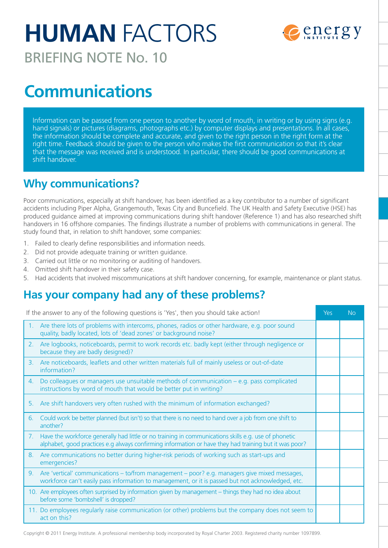# **HUMAN** FACTORS



BRIEFING NOTE No. 10

## **Communications**

Information can be passed from one person to another by word of mouth, in writing or by using signs (e.g. hand signals) or pictures (diagrams, photographs etc.) by computer displays and presentations. In all cases, the information should be complete and accurate, and given to the right person in the right form at the right time. Feedback should be given to the person who makes the first communication so that it's clear that the message was received and is understood. In particular, there should be good communications at shift handover.

## **Why communications?**

Poor communications, especially at shift handover, has been identified as a key contributor to a number of significant accidents including Piper Alpha, Grangemouth, Texas City and Buncefield. The UK Health and Safety Executive (HSE) has produced guidance aimed at improving communications during shift handover (Reference 1) and has also researched shift handovers in 16 offshore companies. The findings illustrate a number of problems with communications in general. The study found that, in relation to shift handover, some companies:

- 1. Failed to clearly define responsibilities and information needs.
- 2. Did not provide adequate training or written guidance.
- 3. Carried out little or no monitoring or auditing of handovers.
- 4. Omitted shift handover in their safety case.
- 5. Had accidents that involved miscommunications at shift handover concerning, for example, maintenance or plant status.

## **Has your company had any of these problems?**

| If the answer to any of the following questions is 'Yes', then you should take action! |                                                                                                                                                                                                                  | Yes | <b>No</b> |
|----------------------------------------------------------------------------------------|------------------------------------------------------------------------------------------------------------------------------------------------------------------------------------------------------------------|-----|-----------|
|                                                                                        | 1. Are there lots of problems with intercoms, phones, radios or other hardware, e.g. poor sound<br>quality, badly located, lots of 'dead zones' or background noise?                                             |     |           |
|                                                                                        | 2. Are logbooks, noticeboards, permit to work records etc. badly kept (either through negligence or<br>because they are badly designed)?                                                                         |     |           |
|                                                                                        | 3. Are noticeboards, leaflets and other written materials full of mainly useless or out-of-date<br>information?                                                                                                  |     |           |
|                                                                                        | 4. Do colleagues or managers use unsuitable methods of communication – e.g. pass complicated<br>instructions by word of mouth that would be better put in writing?                                               |     |           |
|                                                                                        | 5. Are shift handovers very often rushed with the minimum of information exchanged?                                                                                                                              |     |           |
| 6.                                                                                     | Could work be better planned (but isn't) so that there is no need to hand over a job from one shift to<br>another?                                                                                               |     |           |
|                                                                                        | 7. Have the workforce generally had little or no training in communications skills e.g. use of phonetic<br>alphabet, good practices e.g always confirming information or have they had training but it was poor? |     |           |
| 8.                                                                                     | Are communications no better during higher-risk periods of working such as start-ups and<br>emergencies?                                                                                                         |     |           |
| 9.                                                                                     | Are 'vertical' communications – to/from management – poor? e.g. managers give mixed messages,<br>workforce can't easily pass information to management, or it is passed but not acknowledged, etc.               |     |           |
|                                                                                        | 10. Are employees often surprised by information given by management - things they had no idea about<br>before some 'bombshell' is dropped?                                                                      |     |           |
|                                                                                        | 11. Do employees regularly raise communication (or other) problems but the company does not seem to<br>act on this?                                                                                              |     |           |

Copyright © 2011 Energy Institute. A professional membership body incorporated by Royal Charter 2003. Registered charity number 1097899.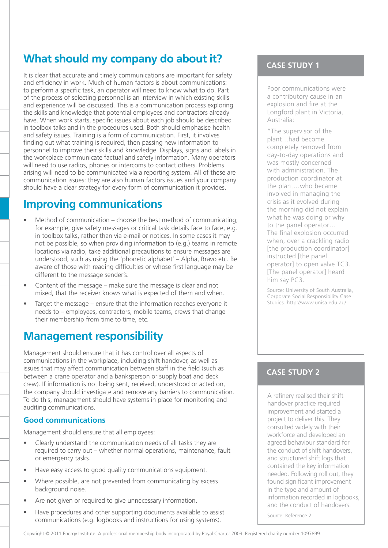## **What should my company do about it?**

It is clear that accurate and timely communications are important for safety and efficiency in work. Much of human factors is about communications: to perform a specific task, an operator will need to know what to do. Part of the process of selecting personnel is an interview in which existing skills and experience will be discussed. This is a communication process exploring the skills and knowledge that potential employees and contractors already have. When work starts, specific issues about each job should be described in toolbox talks and in the procedures used. Both should emphasise health and safety issues. Training is a form of communication. First, it involves finding out what training is required, then passing new information to personnel to improve their skills and knowledge. Displays, signs and labels in the workplace communicate factual and safety information. Many operators will need to use radios, phones or intercoms to contact others. Problems arising will need to be communicated via a reporting system. All of these are communication issues: they are also human factors issues and your company should have a clear strategy for every form of communication it provides.

### **Improving communications**

- Method of communication choose the best method of communicating; for example, give safety messages or critical task details face to face, e.g. in toolbox talks, rather than via e-mail or notices. In some cases it may not be possible, so when providing information to (e.g.) teams in remote locations via radio, take additional precautions to ensure messages are understood, such as using the 'phonetic alphabet' – Alpha, Bravo etc. Be aware of those with reading difficulties or whose first language may be different to the message sender's.
- Content of the message make sure the message is clear and not mixed, that the receiver knows what is expected of them and when.
- Target the message  $-$  ensure that the information reaches everyone it needs to – employees, contractors, mobile teams, crews that change their membership from time to time, etc.

## **Management responsibility**

Management should ensure that it has control over all aspects of communications in the workplace, including shift handover, as well as issues that may affect communication between staff in the field (such as between a crane operator and a banksperson or supply boat and deck crew). If information is not being sent, received, understood or acted on, the company should investigate and remove any barriers to communication. To do this, management should have systems in place for monitoring and auditing communications.

#### **Good communications**

Management should ensure that all employees:

- Clearly understand the communication needs of all tasks they are required to carry out – whether normal operations, maintenance, fault or emergency tasks.
- Have easy access to good quality communications equipment.
- Where possible, are not prevented from communicating by excess background noise.
- Are not given or required to give unnecessary information.
- Have procedures and other supporting documents available to assist communications (e.g. logbooks and instructions for using systems).

#### **Case Study 1**

Poor communications were a contributory cause in an explosion and fire at the Longford plant in Victoria, Australia:

"The supervisor of the plant…had become completely removed from day-to-day operations and was mostly concerned with administration. The production coordinator at the plant…who became involved in managing the crisis as it evolved during the morning did not explain what he was doing or why to the panel operator… The final explosion occurred when, over a crackling radio [the production coordinator] instructed [the panel operator] to open valve TC3. [The panel operator] heard him say PC3.

Source: University of South Australia, Corporate Social Responsibility Case Studies. http://www.unisa.edu.au/.

#### **Case Study 2**

A refinery realised their shift handover practice required improvement and started a project to deliver this. They consulted widely with their workforce and developed an agreed behaviour standard for the conduct of shift handovers, and structured shift logs that contained the key information needed. Following roll out, they found significant improvement in the type and amount of information recorded in logbooks, and the conduct of handovers.

Source: Reference 2.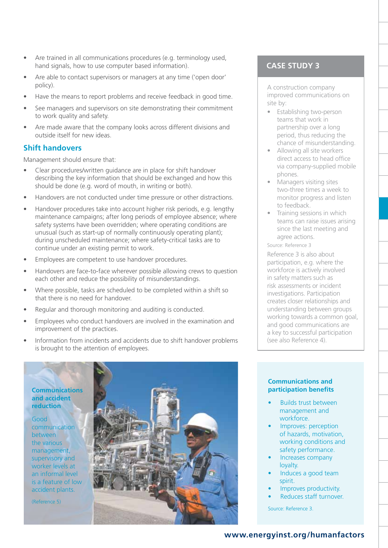- Are trained in all communications procedures (e.g. terminology used, hand signals, how to use computer based information).
- Are able to contact supervisors or managers at any time ('open door' policy).
- Have the means to report problems and receive feedback in good time.
- See managers and supervisors on site demonstrating their commitment to work quality and safety.
- Are made aware that the company looks across different divisions and outside itself for new ideas.

#### **Shift handovers**

Management should ensure that:

- Clear procedures/written guidance are in place for shift handover describing the key information that should be exchanged and how this should be done (e.g. word of mouth, in writing or both).
- Handovers are not conducted under time pressure or other distractions.
- Handover procedures take into account higher risk periods, e.g. lengthy maintenance campaigns; after long periods of employee absence; where safety systems have been overridden; where operating conditions are unusual (such as start-up of normally continuously operating plant); during unscheduled maintenance; where safety-critical tasks are to continue under an existing permit to work.
- Employees are competent to use handover procedures.
- Handovers are face-to-face wherever possible allowing crews to question each other and reduce the possibility of misunderstandings.
- Where possible, tasks are scheduled to be completed within a shift so that there is no need for handover.
- Regular and thorough monitoring and auditing is conducted.
- Employees who conduct handovers are involved in the examination and improvement of the practices.
- Information from incidents and accidents due to shift handover problems is brought to the attention of employees.

#### **Communications and accident reduction**

Good communication between the various management, supervisory and worker levels at an informal level is a feature of low accident plants.

(Reference 5)



#### **Case Study 3**

A construction company improved communications on site by:

- Establishing two-person teams that work in partnership over a long period, thus reducing the chance of misunderstanding.
- Allowing all site workers direct access to head office via company-supplied mobile phones.
- Managers visiting sites two-three times a week to monitor progress and listen to feedback.
- Training sessions in which teams can raise issues arising since the last meeting and agree actions.

Source: Reference 3

Reference 3 is also about participation, e.g. where the workforce is actively involved in safety matters such as risk assessments or incident investigations. Participation creates closer relationships and understanding between groups working towards a common goal, and good communications are a key to successful participation (see also Reference 4).

#### **Communications and participation benefits**

- **Builds trust between** management and workforce.
- Improves: perception of hazards, motivation, working conditions and safety performance.
- Increases company loyalty.
- Induces a good team spirit.
- Improves productivity.
- Reduces staff turnover.

Source: Reference 3.

#### **www.energyinst.org/humanfactors**